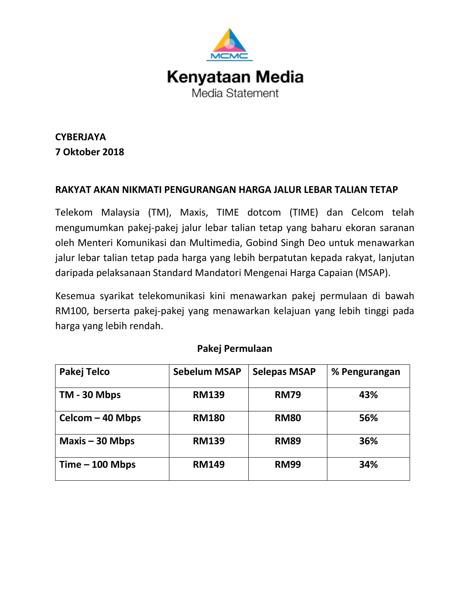

**CYBERJAYA 7 Oktober 2018**

# **RAKYAT AKAN NIKMATI PENGURANGAN HARGA JALUR LEBAR TALIAN TETAP**

Telekom Malaysia (TM), Maxis, TIME dotcom (TIME) dan Celcom telah mengumumkan pakej-pakej jalur lebar talian tetap yang baharu ekoran saranan oleh Menteri Komunikasi dan Multimedia, Gobind Singh Deo untuk menawarkan jalur lebar talian tetap pada harga yang lebih berpatutan kepada rakyat, lanjutan daripada pelaksanaan Standard Mandatori Mengenai Harga Capaian (MSAP).

Kesemua syarikat telekomunikasi kini menawarkan pakej permulaan di bawah RM100, berserta pakej-pakej yang menawarkan kelajuan yang lebih tinggi pada harga yang lebih rendah.

| Pakej Telco       | <b>Sebelum MSAP</b> | <b>Selepas MSAP</b> | % Pengurangan |
|-------------------|---------------------|---------------------|---------------|
| TM - 30 Mbps      | <b>RM139</b>        | <b>RM79</b>         | 43%           |
| Celcom - 40 Mbps  | <b>RM180</b>        | <b>RM80</b>         | 56%           |
| $Maxis - 30 Mbps$ | <b>RM139</b>        | <b>RM89</b>         | 36%           |
| $Time - 100 Mbps$ | <b>RM149</b>        | <b>RM99</b>         | 34%           |

### **Pakej Permulaan**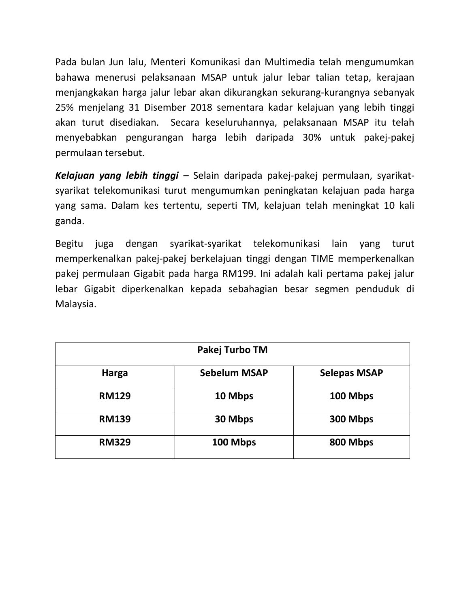Pada bulan Jun lalu, Menteri Komunikasi dan Multimedia telah mengumumkan bahawa menerusi pelaksanaan MSAP untuk jalur lebar talian tetap, kerajaan menjangkakan harga jalur lebar akan dikurangkan sekurang-kurangnya sebanyak 25% menjelang 31 Disember 2018 sementara kadar kelajuan yang lebih tinggi akan turut disediakan. Secara keseluruhannya, pelaksanaan MSAP itu telah menyebabkan pengurangan harga lebih daripada 30% untuk pakej-pakej permulaan tersebut.

*Kelajuan yang lebih tinggi –* Selain daripada pakej-pakej permulaan, syarikatsyarikat telekomunikasi turut mengumumkan peningkatan kelajuan pada harga yang sama. Dalam kes tertentu, seperti TM, kelajuan telah meningkat 10 kali ganda.

Begitu juga dengan syarikat-syarikat telekomunikasi lain yang turut memperkenalkan pakej-pakej berkelajuan tinggi dengan TIME memperkenalkan pakej permulaan Gigabit pada harga RM199. Ini adalah kali pertama pakej jalur lebar Gigabit diperkenalkan kepada sebahagian besar segmen penduduk di Malaysia.

| Pakej Turbo TM |                     |                     |  |
|----------------|---------------------|---------------------|--|
| <b>Harga</b>   | <b>Sebelum MSAP</b> | <b>Selepas MSAP</b> |  |
| <b>RM129</b>   | 10 Mbps             | 100 Mbps            |  |
| <b>RM139</b>   | 30 Mbps             | 300 Mbps            |  |
| <b>RM329</b>   | 100 Mbps            | 800 Mbps            |  |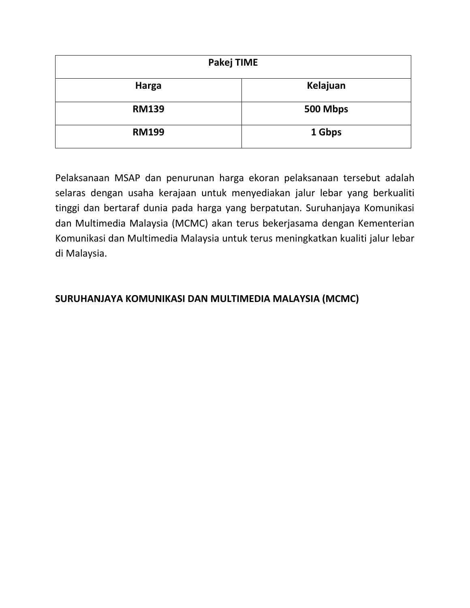| Pakej TIME   |          |  |
|--------------|----------|--|
| <b>Harga</b> | Kelajuan |  |
| <b>RM139</b> | 500 Mbps |  |
| <b>RM199</b> | 1 Gbps   |  |

Pelaksanaan MSAP dan penurunan harga ekoran pelaksanaan tersebut adalah selaras dengan usaha kerajaan untuk menyediakan jalur lebar yang berkualiti tinggi dan bertaraf dunia pada harga yang berpatutan. Suruhanjaya Komunikasi dan Multimedia Malaysia (MCMC) akan terus bekerjasama dengan Kementerian Komunikasi dan Multimedia Malaysia untuk terus meningkatkan kualiti jalur lebar di Malaysia.

# **SURUHANJAYA KOMUNIKASI DAN MULTIMEDIA MALAYSIA (MCMC)**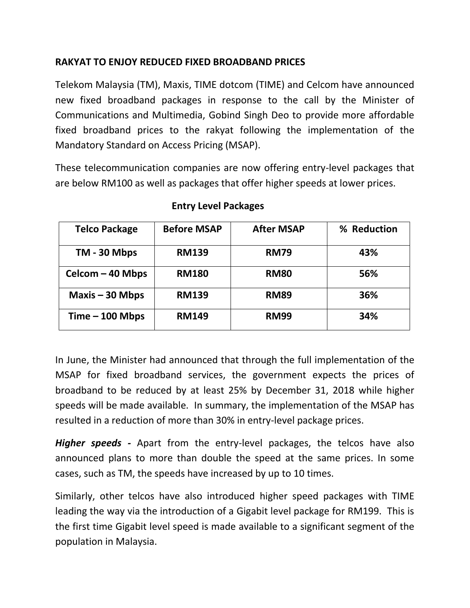# **RAKYAT TO ENJOY REDUCED FIXED BROADBAND PRICES**

Telekom Malaysia (TM), Maxis, TIME dotcom (TIME) and Celcom have announced new fixed broadband packages in response to the call by the Minister of Communications and Multimedia, Gobind Singh Deo to provide more affordable fixed broadband prices to the rakyat following the implementation of the Mandatory Standard on Access Pricing (MSAP).

These telecommunication companies are now offering entry-level packages that are below RM100 as well as packages that offer higher speeds at lower prices.

| <b>Telco Package</b> | <b>Before MSAP</b> | <b>After MSAP</b> | % Reduction |
|----------------------|--------------------|-------------------|-------------|
| TM - 30 Mbps         | <b>RM139</b>       | <b>RM79</b>       | 43%         |
| Celcom - 40 Mbps     | <b>RM180</b>       | <b>RM80</b>       | 56%         |
| Maxis $-30$ Mbps     | <b>RM139</b>       | <b>RM89</b>       | 36%         |
| $Time - 100 Mbps$    | <b>RM149</b>       | <b>RM99</b>       | 34%         |

# **Entry Level Packages**

In June, the Minister had announced that through the full implementation of the MSAP for fixed broadband services, the government expects the prices of broadband to be reduced by at least 25% by December 31, 2018 while higher speeds will be made available.In summary, the implementation of the MSAP has resulted in a reduction of more than 30% in entry-level package prices.

*Higher speeds -* Apart from the entry-level packages, the telcos have also announced plans to more than double the speed at the same prices. In some cases, such as TM, the speeds have increased by up to 10 times.

Similarly, other telcos have also introduced higher speed packages with TIME leading the way via the introduction of a Gigabit level package for RM199. This is the first time Gigabit level speed is made available to a significant segment of the population in Malaysia.